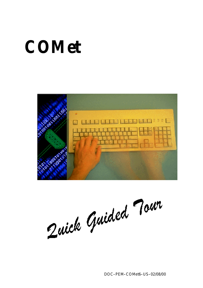# **COMet**



Quick Guided Tour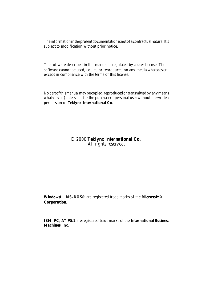Theinformation in thepresentdocumentation isnotof acontractualnature.Itis subject to modification without prior notice.

The software described in this manual is regulated by a user license. The software cannot be used, copied or reproduced on any media whatsoever, except in compliance with the terms of this license.

No part of this manual may be copied, reproduced or transmitted by any means whatsoever (unless it is for the purchaser's personal use) without the written permission of **Teklynx International Co.**

> E 2000 **Teklynx International Co,** All rights reserved.

**Windowst**, **MS-DOS**<sup>®</sup> are registered trade marks of the **Microsoft**<sup>®</sup> **Corporation**.

**IBM**, **PC**, **AT PS/2** are registered trade marks of the **International Business Machines**, Inc.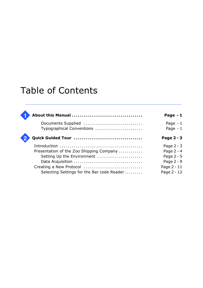## Table of Contents

|                                            | Page - 1     |
|--------------------------------------------|--------------|
| Documents Supplied                         | Page $-1$    |
| Typographical Conventions                  | Page $-1$    |
|                                            | Page 2 - 3   |
|                                            | Page $2 - 3$ |
| Presentation of the Zoo Shipping Company   | Page $2 - 4$ |
| Setting Up the Environment                 | Page 2 - 5   |
|                                            | Page 2 - 9   |
| Creating a New Protocol                    | Page 2 - 11  |
| Selecting Settings for the Bar code Reader | Page 2 - 12  |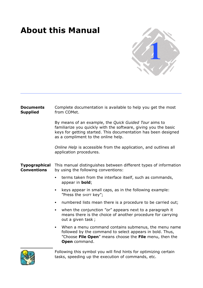### **About this Manual**



| <b>Documents</b><br><b>Supplied</b>        | Complete documentation is available to help you get the most<br>from COMet.                                                                                                                                                       |  |  |  |  |  |
|--------------------------------------------|-----------------------------------------------------------------------------------------------------------------------------------------------------------------------------------------------------------------------------------|--|--|--|--|--|
|                                            | By means of an example, the Quick Guided Tour aims to<br>familiarize you quickly with the software, giving you the basic<br>keys for getting started. This documentation has been designed<br>as a compliment to the online help. |  |  |  |  |  |
|                                            | Online Help is accessible from the application, and outlines all<br>application procedures.                                                                                                                                       |  |  |  |  |  |
| <b>Typographical</b><br><b>Conventions</b> | This manual distinguishes between different types of information<br>by using the following conventions:                                                                                                                           |  |  |  |  |  |
|                                            | terms taken from the interface itself, such as commands,<br>$\bullet$<br>appear in <b>bold</b> ;                                                                                                                                  |  |  |  |  |  |
|                                            | keys appear in small caps, as in the following example:<br>٠<br>"Press the SHIFT key";                                                                                                                                            |  |  |  |  |  |
|                                            | numbered lists mean there is a procedure to be carried out;<br>٠                                                                                                                                                                  |  |  |  |  |  |
|                                            | when the conjunction "or" appears next to a paragraph it<br>$\bullet$<br>means there is the choice of another procedure for carrying<br>out a given task;                                                                         |  |  |  |  |  |
|                                            | When a menu command contains submenus, the menu name<br>$\bullet$<br>followed by the command to select appears in bold. Thus,<br>"Choose File Open" means choose the File menu, then the<br><b>Open</b> command.                  |  |  |  |  |  |
|                                            | Following this symbol you will find hints for ontimizing certain                                                                                                                                                                  |  |  |  |  |  |



Following this symbol you will find hints for optimizing certain tasks, speeding up the execution of commands, etc.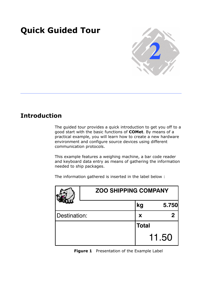### **Quick Guided Tour**



### **Introduction**

The guided tour provides a quick introduction to get you off to a good start with the basic functions of **COMet**. By means of a practical example, you will learn how to create a new hardware environment and configure source devices using different communication protocols.

This example features a weighing machine, a bar code reader and keyboard data entry as means of gathering the information needed to ship packages.

|              |              | <b>ZOO SHIPPING COMPANY</b> |  |  |  |
|--------------|--------------|-----------------------------|--|--|--|
|              | kg           | 5.750                       |  |  |  |
| Destination: | X            |                             |  |  |  |
|              | <b>Total</b> |                             |  |  |  |
|              |              | 11.50                       |  |  |  |

The information gathered is inserted in the label below :

**Figure 1** Presentation of the Example Label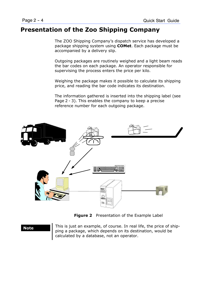### **Presentation of the Zoo Shipping Company**

The ZOO Shipping Company's dispatch service has developed a package shipping system using **COMet**. Each package must be accompanied by a delivery slip.

Outgoing packages are routinely weighed and a light beam reads the bar codes on each package. An operator responsible for supervising the process enters the price per kilo.

Weighing the package makes it possible to calculate its shipping price, and reading the bar code indicates its destination.

The information gathered is inserted into the shipping label (see Page 2 - 3). This enables the company to keep a precise reference number for each outgoing package.



**Figure 2** Presentation of the Example Label

Note This is just an example, of course. In real life, the price of shipping a package, which depends on its destination, would be calculated by a database, not an operator.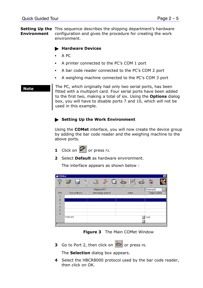**Setting Up the** This sequence describes the shipping department's hardware configuration and gives the procedure for creating the work environment. **Environment**

#### **B** Hardware Devices

- A PC
- A printer connected to the PC's COM 1 port
- A bar code reader connected to the PC's COM 2 port
- A weighing machine connected to the PC's COM 3 port

Note **The PC, which originally had only two serial ports, has been** fitted with a multiport card. Four serial ports have been added to the first two, making a total of six. Using the **Options** dialog box, you will have to disable ports 7 and 10, which will not be used in this example.

#### **Setting Up the Work Environment**

Using the **COMet** interface, you will now create the device group by adding the bar code reader and the weighing machine to the above ports.

**1** Click on  $\mathbb{Z}$  or press F<sub>2</sub>.

**2** Select **Default** as hardware environment.

The interface appears as shown below :

| <b>Ed COMet</b><br>G | 戸        |                | $\overline{\mathcal{L}}$ | ≗              | ్తే                  | $\bigcirc$ | త్ర | ්්             | $\bullet$ | 譕               |  |
|----------------------|----------|----------------|--------------------------|----------------|----------------------|------------|-----|----------------|-----------|-----------------|--|
| F1                   | F2       | F <sub>3</sub> | F4                       | F <sub>5</sub> | F6                   | F7         | F8  | F <sub>9</sub> | F10       | F11             |  |
|                      |          |                |                          | Shipping.CMT   |                      |            |     |                |           | Shipping.lab    |  |
| Port                 |          | Source device  |                          |                | Interchange protocol |            |     | Value          |           | Target variable |  |
| п                    |          |                |                          |                |                      |            |     |                |           |                 |  |
| $\overline{c}$       |          |                |                          |                |                      |            |     |                |           |                 |  |
| 3                    |          |                |                          |                |                      |            |     |                |           |                 |  |
| 4                    |          |                |                          |                |                      |            |     |                |           |                 |  |
| 5                    |          |                |                          |                |                      |            |     |                |           |                 |  |
| $\boldsymbol{6}$     |          |                |                          |                |                      |            |     |                |           |                 |  |
| ٠                    | Keyboard |                |                          |                |                      |            |     |                |           | Var0            |  |
|                      |          |                |                          |                |                      |            |     |                |           |                 |  |

**Figure 3** The Main COMet Window

**3** Go to Port 2, then click on **or** or press F8.

The **Selection** dialog box appears.

**4** Select the HBCR8000 protocol used by the bar code reader, then click on OK.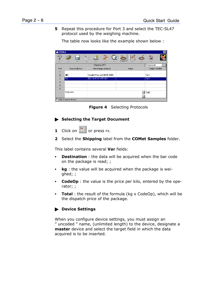**5** Repeat this procedure for Port 3 and select the TEC-SL47 protocol used by the weighing machine.

The table now looks like the example shown below :



**Figure 4** Selecting Protocols

#### **Selecting the Target Document**

- **1** Click on **1** or press F4.
- **2** Select the **Shipping** label from the **COMet Samples** folder.

This label contains several **Var** fields:

- **Destination** : the data will be acquired when the bar code on the package is read; ;
- **kg** : the value will be acquired when the package is weighed; ;
- **CodeOp** : the value is the price per kilo, entered by the operator; ;
- **Total** : the result of the formula (kg x CodeOp), which will be the dispatch price of the package.

#### **Device Settings**

When you configure device settings, you must assign an î uncoded î name, (unlimited length) to the device, designate a **master** device and select the target field in which the data acquired is to be inserted.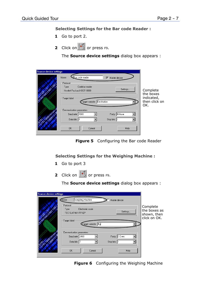**Selecting Settings for the Bar code Reader :**

- **1** Go to port 2.
- **2** Click on  $\frac{\sqrt{3}}{2}$  or press F9.

The **Source device settings** dialog box appears :

| Source device settings<br>Charles Lives | Bar code reader<br>Name<br>Master device<br>M<br>Protocol<br>Codebar reader<br>Type<br>Settings<br>Hewlett Packard HBCR 8000<br>Target label<br>arget variable Destination | Complete<br>the boxes<br>indicated,<br>then click on<br>OK. |
|-----------------------------------------|----------------------------------------------------------------------------------------------------------------------------------------------------------------------------|-------------------------------------------------------------|
|                                         | Communication parameters<br>Parity N None<br>Baud rate 9600                                                                                                                |                                                             |
| <b>ATTORNMENT</b>                       | Stop bits<br>Data bits 8<br>$\overline{\phantom{a}}$                                                                                                                       |                                                             |
|                                         | <b>OK</b><br>Cancel<br>Help                                                                                                                                                |                                                             |

**Figure 5** Configuring the Bar code Reader

**Selecting Settings for the Weighing Machine :**

- **1** Go to port 3
- **2** Click on  $\boxed{\frac{3}{2}}$  or press F9.

The **Source device settings** dialog box appears :

| <b>Source device settings</b> |                                                            |               |                                         |
|-------------------------------|------------------------------------------------------------|---------------|-----------------------------------------|
|                               | Weighing Machine<br>Name                                   | Master device |                                         |
| Charles Live Live             | Protocol<br>Electronic scale<br>Type<br>TEC SL47-N-1-RP/QP | Settings      | Complete<br>the boxes as<br>shown, then |
|                               | Target label<br>Target variable Kg                         |               | click on OK.                            |
|                               | Communication parameters<br>Baud rate 2400                 | Parity E Even |                                         |
| <b>Silverpools</b>            | Data bits 7                                                | Stop bits     |                                         |
|                               | <b>OK</b><br>Cancel                                        | Help          |                                         |

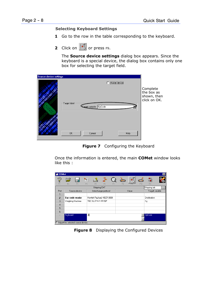#### **Selecting Keyboard Settings**

- **1** Go to the row in the table corresponding to the keyboard.
- **2** Click on  $\boxed{\frac{3}{5}}$  or press F9.

The **Source device settings** dialog box appears. Since the keyboard is a special device, the dialog box contains only one box for selecting the target field.

| Source device settings                   |              |                        |               |                                                       |
|------------------------------------------|--------------|------------------------|---------------|-------------------------------------------------------|
| Charles Land<br><b>STANDARD STANDARD</b> | Target label | Target variable OpCode | Master device | Complete<br>the box as<br>shown, then<br>click on OK. |
|                                          | <b>OK</b>    | Cancel                 | Help          |                                                       |

**Figure 7** Configuring the Keyboard

Once the information is entered, the main **COMet** window looks like this :

| <b>COMet</b><br>ы |                                   |                                                                                     |    |                       |       |          |                 | $\overline{\mathbf{z}}$ |
|-------------------|-----------------------------------|-------------------------------------------------------------------------------------|----|-----------------------|-------|----------|-----------------|-------------------------|
| g<br>F1           | F2<br>F3                          | $\delta_{\bf b}$<br>ೊ<br>$\sum_{i=1}^{n}$<br>F <sub>6</sub><br>F4<br>F <sub>5</sub> | F7 | $\frac{8}{200}$<br>F8 | 69    | ಂ<br>F10 | 譕<br>F11        |                         |
|                   |                                   | Shipping.CMT                                                                        |    |                       |       |          | Shipping lab    | 111                     |
| Port              | Source device                     | Interchange protocol                                                                |    |                       | Value |          | Target variable |                         |
|                   |                                   |                                                                                     |    |                       |       |          |                 |                         |
| $\overline{2}$    | Bar code reader                   | Hewlett Packard HBCR 8000                                                           |    |                       |       |          | Destination     |                         |
| 3                 | Weighing Machine                  | TEC SL47-N-1-RP/OP                                                                  |    |                       |       |          | Kg              |                         |
| 4                 |                                   |                                                                                     |    |                       |       |          |                 |                         |
| 5                 |                                   |                                                                                     |    |                       |       |          |                 |                         |
| 6                 |                                   |                                                                                     |    |                       |       |          |                 |                         |
| ٠                 | Keyboard                          | 2                                                                                   |    |                       |       |          | <b>OpCode</b>   |                         |
|                   |                                   |                                                                                     |    |                       |       |          |                 |                         |
|                   | Adjust the selected source device |                                                                                     |    |                       |       |          |                 |                         |

**Figure 8** Displaying the Configured Devices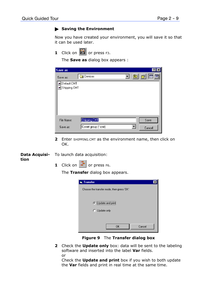#### **Saving the Environment**

Now you have created your environment, you will save it so that it can be used later.

**1** Click on  $\mathbb{E}\left[\begin{array}{cc} 0 & \cos\theta \\ 0 & \sin\theta\end{array}\right]$  or press F3.

The **Save as** dialog box appears :



**2** Enter SHIPPING.CMT as the environment name, then click on OK.

To launch data acquisition: **Data Acquisition**

**1** Click on  $\infty$  or press F6.

The **Transfer** dialog box appears.

| <b>E.</b> Transfer                        |        |
|-------------------------------------------|--------|
| Choose the transfer mode, then press 'OK' |        |
|                                           |        |
| C Update and print                        |        |
| C Update only                             |        |
|                                           |        |
| 0K                                        | Cancel |

**Figure 9** The **Transfer dialog box**

**2** Check the **Update only** box: data will be sent to the labeling software and inserted into the label **Var** fields. or

Check the **Update and print** box if you wish to both update the **Var** fields and print in real time at the same time.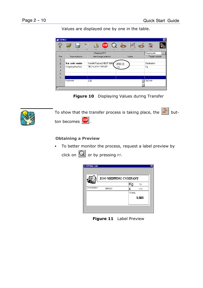Values are displayed one by one in the table.

| <b>Ed COMet</b> |                  |                                            |                               |                                                     |                                                | $\overline{\mathbf{x}}$  |
|-----------------|------------------|--------------------------------------------|-------------------------------|-----------------------------------------------------|------------------------------------------------|--------------------------|
| S<br>F1         | F3<br>E2         | $\sum_{i=1}^n a_i$<br>F4<br>F <sub>5</sub> | <b>STOP</b><br>F <sub>6</sub> | $\frac{\partial}{\partial \sigma}$<br>Œ<br>F7<br>F8 | 61.<br>0 <sup>0</sup><br>F10<br>F <sub>3</sub> | 譚<br>F11                 |
|                 |                  |                                            | Shipping.CMT                  |                                                     |                                                | Shipping lab<br>$\cdots$ |
| Port            | Source device    |                                            | Interchange protocol          |                                                     | Value                                          | Target variable          |
|                 |                  |                                            |                               |                                                     |                                                |                          |
| $\overline{2}$  | Bar code reader  |                                            | Hewlett Packard HBCR 8000/    | 4556123                                             |                                                | Destination              |
| $\overline{3}$  | Weighing Machine | TEC SL47-N-1-RP/OP                         |                               | 1.5                                                 |                                                | Kg                       |
| 4               |                  |                                            |                               |                                                     |                                                |                          |
| 5               |                  |                                            |                               |                                                     |                                                |                          |
| £.              |                  |                                            |                               |                                                     |                                                |                          |
| ٠               | Keyboard         | 3.95                                       |                               |                                                     |                                                | OpCode                   |
|                 |                  |                                            |                               |                                                     |                                                |                          |
|                 |                  |                                            |                               |                                                     |                                                |                          |





To show that the transfer process is taking place, the  $\left| \frac{3}{2} \right|$  but-



#### **Obtaining a Preview**

• To better monitor the process, request a label preview by click on  $\mathbb{Q}$  or by pressing F7.



**Figure 11** Label Preview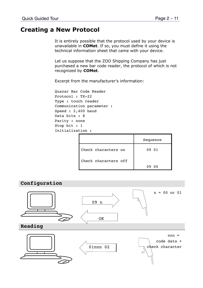#### **Creating a New Protocol**

It is entirely possible that the protocol used by your device is unavailable in **COMet**. If so, you must define it using the technical information sheet that came with your device.

Let us suppose that the ZOO Shipping Company has just purchased a new bar code reader, the protocol of which is not recognized by **COMet**.

Excerpt from the manufacturer's information:

Quazar Bar Code Reader Protocol : TX-22 Type : touch reader Communication parameter : Speed : 2,400 baud Data bits : 8 Parity : none Stop bit : 1 Initialization :

|                      | Sequence |
|----------------------|----------|
| Check characters on  | 09 01    |
| Check characters off |          |
|                      | nn<br>Ω9 |

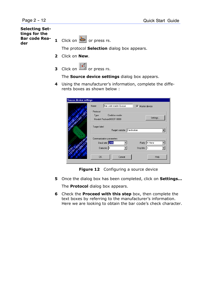#### **Selecting Settings for the Bar code Reader**



**1** Click on **o** or press F8.

The protocol **Selection** dialog box appears.

- **2** Click on **New**.
- **3** Click on  $\boxed{\frac{3}{2}}$  or press F9.

The **Source device settings** dialog box appears.

**4** Using the manufacturer's information, complete the differents boxes as shown below :

| <b>Source device settings</b> |                                                                 |
|-------------------------------|-----------------------------------------------------------------|
|                               | Barcode reader Quazar<br>Name<br>⊽<br>Master device             |
|                               | Protocol                                                        |
|                               | Codebar reader<br>Type<br>Settings<br>Hewlett Packard HBCR 8000 |
| <b>Statement Company</b>      |                                                                 |
|                               | Target label                                                    |
|                               | Target variable Destination                                     |
|                               | Communication parameters                                        |
|                               | Baud rate 2400<br>Parity  N None                                |
| Capital Marian                | Data bits 8<br>Stop bits  1                                     |
|                               |                                                                 |
|                               | <b>OK</b><br>Cancel<br>Help                                     |
|                               |                                                                 |

**Figure 12** Configuring a source device

**5** Once the dialog box has been completed, click on **Settings...**

The **Protocol** dialog box appears.

**6** Check the **Proceed with this step** box, then complete the text boxes by referring to the manufacturer's information. Here we are looking to obtain the bar code's check character.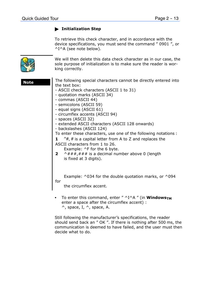#### $\blacktriangleright$  Initialization Step

To retrieve this check character, and in accordance with the device specifications, you must send the command " 0901 ", or ^I^A (see note below).



We will then delete this data check character as in our case, the sole purpose of initialization is to make sure the reader is working correctly.

**Note** The following special characters cannot be directly entered into the text box: - ASCII check characters (ASCII 1 to 31) - quotation marks (ASCII 34)

- commas (ASCII 44)
- semicolons (ASCII 59)
- equal signs (ASCII 61)
- circumflex accents (ASCII 94)
- spaces (ASCII 32)
- extended ASCII characters (ASCII 128 onwards)
- backslashes (ASCII 124)
- To enter these characters, use one of the following notations :
- **1** ^#, # is a capital letter from A to Z and replaces the ASCII characters from 1 to 26.
- Example: ^F for the 6 byte.
- **2**  $\wedge$   $\#$   $\#$   $\#$   $\#$   $\#$  is a decimal number above 0 (length is fixed at 3 digits).

Example: ^034 for the double quotation marks, or ^094

the circumflex accent.

for

To enter this command, enter  $''$  ^I^A  $''$  (in **Windows<sub>TM</sub>** enter a space after the circumflex accent) :  $\land$ , space, I,  $\land$ , space, A.

Still following the manufacturer's specifications, the reader should send back an " OK ". If there is nothing after 500 ms, the communication is deemed to have failed, and the user must then decide what to do.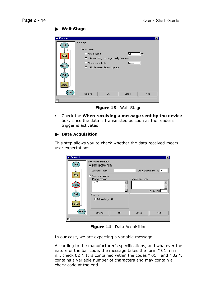$\blacktriangleright$  **Wait Stage** 

| is, Protocol   |                                                                |                                               |        | $\vert x \vert$ |
|----------------|----------------------------------------------------------------|-----------------------------------------------|--------|-----------------|
| Init           | Wait stage                                                     |                                               |        |                 |
| Wait           | Exit wait stage<br>C After a delay of                          | C When receiving a message sent by the device | 500    | ms              |
| (Query)        | After pressing the key<br>C While the master device is updated | Space                                         |        |                 |
| Poll           |                                                                |                                               |        |                 |
| <b>Extract</b> |                                                                |                                               |        |                 |
| <b>Reset</b>   | Save As                                                        | OK.                                           | Cancel | Help            |
|                |                                                                |                                               |        |                 |

**Figure 13** Wait Stage

**Check the When receiving a message sent by the device** box, since the data is transmitted as soon as the reader's trigger is activated.

#### " **Data Acquisition**

This step allows you to check whether the data received meets user expectations.

| <b>is</b> , Protocol | $\overline{\mathbf{x}}$                       |
|----------------------|-----------------------------------------------|
|                      | Enquire data availability                     |
| Init                 | $\nabla$ Proceed with this step               |
|                      | Delay after sending (ms) 0<br>Command to send |
| <b>Wait</b>          | Vait for an answer                            |
|                      | Negative answers<br>Positive answers          |
| Query                | <b>CARD</b>                                   |
|                      |                                               |
|                      | Timeout (ms) 0                                |
| Poll                 | Reaction                                      |
|                      | □ Acknowledge with:                           |
| <b>Extract</b>       |                                               |
|                      |                                               |
| Reset                | Save As<br><b>OK</b><br>Cancel<br>Help        |
|                      |                                               |
|                      |                                               |

**Figure 14** Data Acquisition

In our case, we are expecting a variable message.

According to the manufacturer's specifications, and whatever the nature of the bar code, the message takes the form " 01 n n n n... check 02 ". It is contained within the codes " 01 " and " 02 ", contains a variable number of characters and may contain a check code at the end.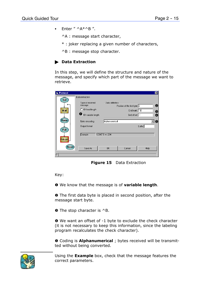$\cdot$  Fnter  $''$  ^A\*^B  $''$ .

^A : message start character,

- \* : joker replacing a given number of characters,
- ^B : message stop character.

#### $\blacktriangleright$  Data Extraction

In this step, we will define the structure and nature of the message, and specify which part of the message we want to retrieve.

| Protocol<br>m.         |                             |                                                 | $\vert x \vert$              |
|------------------------|-----------------------------|-------------------------------------------------|------------------------------|
|                        | Data extraction             |                                                 |                              |
| Init                   | Type of received<br>message | Data delimiters<br>Position of the first byte 2 | 0                            |
| Wait                   | C Of fixed length           |                                                 | End mark <sup>2</sup> B<br>❸ |
|                        | Of variable length          |                                                 | End offset -1<br>❹           |
| Query                  | Bytes encoding              | Alphanumerical                                  | $\mathbf{\Theta}$            |
|                        | Output format               |                                                 | Suffix                       |
| Poll<br><b>Extract</b> | Example                     | $12345^{\circ}B \Rightarrow 234$                |                              |
| <b>Reset</b>           | Save As                     | <b>OK</b><br>Cancel                             | Help                         |
|                        |                             |                                                 |                              |

**Figure 15** Data Extraction

Key:

We know that the message is of **variable length**.

 $\Theta$  The first data byte is placed in second position, after the message start byte.

**O** The stop character is ^B.

 We want an offset of -1 byte to exclude the check character (it is not necessary to keep this information, since the labeling program recalculates the check character).

 $\Theta$  Coding is **Alphanumerical** ; bytes received will be transmitted without being converted.



Using the **Example** box, check that the message features the correct parameters.